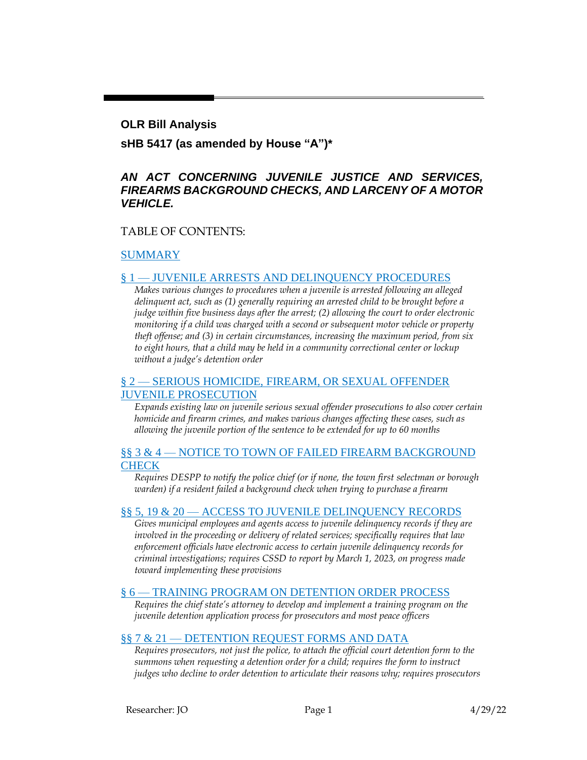#### **OLR Bill Analysis**

**sHB 5417 (as amended by House "A")\***

### *AN ACT CONCERNING JUVENILE JUSTICE AND SERVICES, FIREARMS BACKGROUND CHECKS, AND LARCENY OF A MOTOR VEHICLE.*

#### TABLE OF CONTENTS:

#### [SUMMARY](#page-1-0)

#### § 1 — [JUVENILE ARRESTS AND DELINQUENCY PROCEDURES](#page-2-0)

*Makes various changes to procedures when a juvenile is arrested following an alleged delinquent act, such as (1) generally requiring an arrested child to be brought before a judge within five business days after the arrest; (2) allowing the court to order electronic monitoring if a child was charged with a second or subsequent motor vehicle or property theft offense; and (3) in certain circumstances, increasing the maximum period, from six to eight hours, that a child may be held in a community correctional center or lockup without a judge's detention order*

#### § 2 — [SERIOUS HOMICIDE, FIREARM, OR SEXUAL OFFENDER](#page-4-0)  [JUVENILE PROSECUTION](#page-4-0)

*Expands existing law on juvenile serious sexual offender prosecutions to also cover certain homicide and firearm crimes, and makes various changes affecting these cases, such as allowing the juvenile portion of the sentence to be extended for up to 60 months*

#### §§ 3 & 4 — NOTICE TO TOWN OF FAILED FIREARM BACKGROUND **[CHECK](#page-6-0)**

*Requires DESPP to notify the police chief (or if none, the town first selectman or borough warden) if a resident failed a background check when trying to purchase a firearm*

#### §§ 5, 19 & 20 — [ACCESS TO JUVENILE DELINQUENCY RECORDS](#page-7-0)

*Gives municipal employees and agents access to juvenile delinquency records if they are involved in the proceeding or delivery of related services; specifically requires that law enforcement officials have electronic access to certain juvenile delinquency records for criminal investigations; requires CSSD to report by March 1, 2023, on progress made toward implementing these provisions*

#### § 6 — [TRAINING PROGRAM ON DETENTION ORDER PROCESS](#page-8-0)

*Requires the chief state's attorney to develop and implement a training program on the juvenile detention application process for prosecutors and most peace officers*

#### §§ 7 & 21 — [DETENTION REQUEST FORMS AND DATA](#page-8-1)

*Requires prosecutors, not just the police, to attach the official court detention form to the summons when requesting a detention order for a child; requires the form to instruct judges who decline to order detention to articulate their reasons why; requires prosecutors*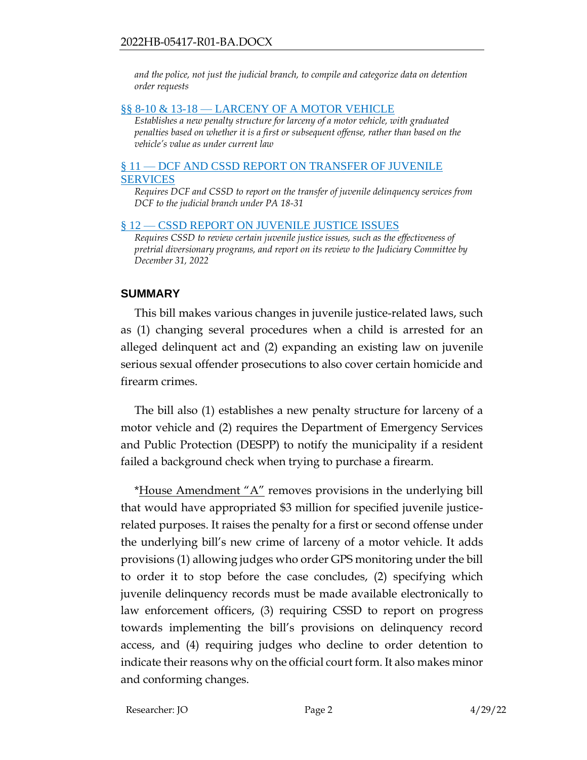*and the police, not just the judicial branch, to compile and categorize data on detention order requests*

#### §§ 8-10 & 13-18 — [LARCENY OF A MOTOR VEHICLE](#page-9-0)

*Establishes a new penalty structure for larceny of a motor vehicle, with graduated penalties based on whether it is a first or subsequent offense, rather than based on the vehicle's value as under current law*

#### § 11 — [DCF AND CSSD REPORT ON TRANSFER OF JUVENILE](#page-10-0)  [SERVICES](#page-10-0)

*Requires DCF and CSSD to report on the transfer of juvenile delinquency services from DCF to the judicial branch under PA 18-31*

#### § 12 — [CSSD REPORT ON JUVENILE JUSTICE ISSUES](#page-10-1)

*Requires CSSD to review certain juvenile justice issues, such as the effectiveness of pretrial diversionary programs, and report on its review to the Judiciary Committee by December 31, 2022*

### <span id="page-1-0"></span>**SUMMARY**

This bill makes various changes in juvenile justice-related laws, such as (1) changing several procedures when a child is arrested for an alleged delinquent act and (2) expanding an existing law on juvenile serious sexual offender prosecutions to also cover certain homicide and firearm crimes.

The bill also (1) establishes a new penalty structure for larceny of a motor vehicle and (2) requires the Department of Emergency Services and Public Protection (DESPP) to notify the municipality if a resident failed a background check when trying to purchase a firearm.

\*House Amendment "A" removes provisions in the underlying bill that would have appropriated \$3 million for specified juvenile justicerelated purposes. It raises the penalty for a first or second offense under the underlying bill's new crime of larceny of a motor vehicle. It adds provisions (1) allowing judges who order GPS monitoring under the bill to order it to stop before the case concludes, (2) specifying which juvenile delinquency records must be made available electronically to law enforcement officers, (3) requiring CSSD to report on progress towards implementing the bill's provisions on delinquency record access, and (4) requiring judges who decline to order detention to indicate their reasons why on the official court form. It also makes minor and conforming changes.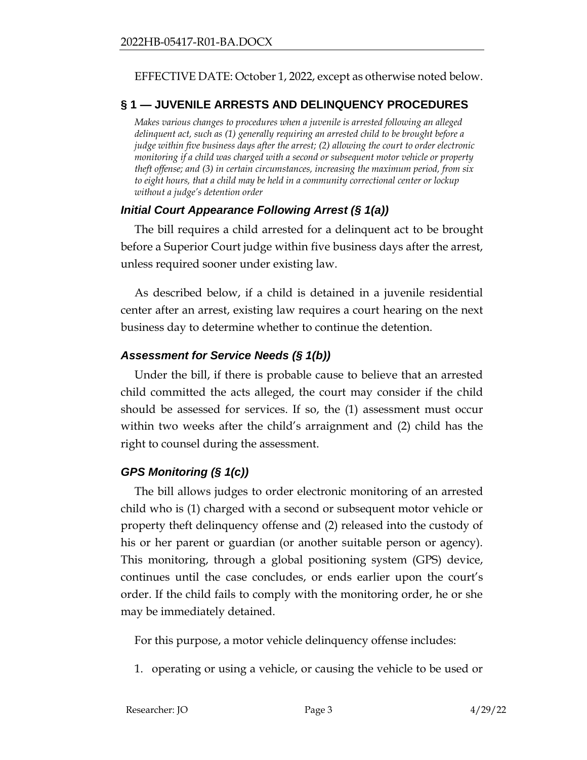#### EFFECTIVE DATE: October 1, 2022, except as otherwise noted below.

### <span id="page-2-0"></span>**§ 1 — JUVENILE ARRESTS AND DELINQUENCY PROCEDURES**

*Makes various changes to procedures when a juvenile is arrested following an alleged delinquent act, such as (1) generally requiring an arrested child to be brought before a judge within five business days after the arrest; (2) allowing the court to order electronic monitoring if a child was charged with a second or subsequent motor vehicle or property theft offense; and (3) in certain circumstances, increasing the maximum period, from six to eight hours, that a child may be held in a community correctional center or lockup without a judge's detention order*

### *Initial Court Appearance Following Arrest (§ 1(a))*

The bill requires a child arrested for a delinquent act to be brought before a Superior Court judge within five business days after the arrest, unless required sooner under existing law.

As described below, if a child is detained in a juvenile residential center after an arrest, existing law requires a court hearing on the next business day to determine whether to continue the detention.

### *Assessment for Service Needs (§ 1(b))*

Under the bill, if there is probable cause to believe that an arrested child committed the acts alleged, the court may consider if the child should be assessed for services. If so, the (1) assessment must occur within two weeks after the child's arraignment and (2) child has the right to counsel during the assessment.

### *GPS Monitoring (§ 1(c))*

The bill allows judges to order electronic monitoring of an arrested child who is (1) charged with a second or subsequent motor vehicle or property theft delinquency offense and (2) released into the custody of his or her parent or guardian (or another suitable person or agency). This monitoring, through a global positioning system (GPS) device, continues until the case concludes, or ends earlier upon the court's order. If the child fails to comply with the monitoring order, he or she may be immediately detained.

For this purpose, a motor vehicle delinquency offense includes:

1. operating or using a vehicle, or causing the vehicle to be used or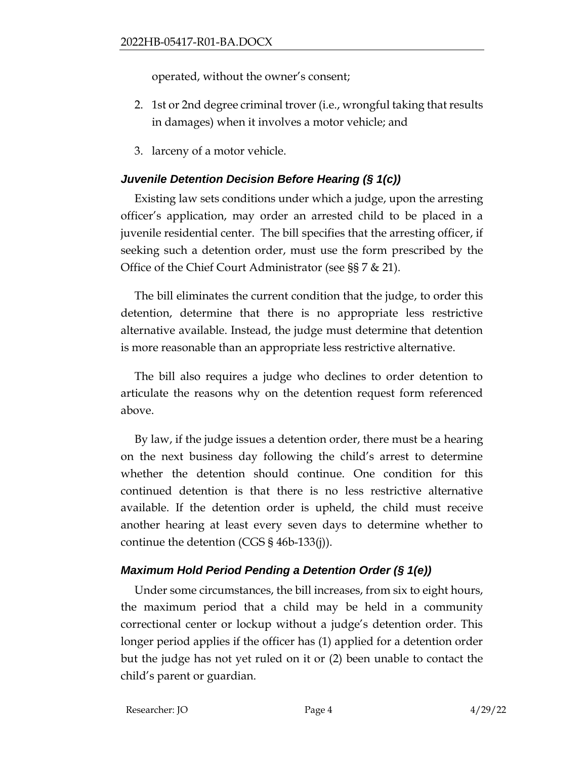operated, without the owner's consent;

- 2. 1st or 2nd degree criminal trover (i.e., wrongful taking that results in damages) when it involves a motor vehicle; and
- 3. larceny of a motor vehicle.

# *Juvenile Detention Decision Before Hearing (§ 1(c))*

Existing law sets conditions under which a judge, upon the arresting officer's application, may order an arrested child to be placed in a juvenile residential center. The bill specifies that the arresting officer, if seeking such a detention order, must use the form prescribed by the Office of the Chief Court Administrator (see §§ 7 & 21).

The bill eliminates the current condition that the judge, to order this detention, determine that there is no appropriate less restrictive alternative available. Instead, the judge must determine that detention is more reasonable than an appropriate less restrictive alternative.

The bill also requires a judge who declines to order detention to articulate the reasons why on the detention request form referenced above.

By law, if the judge issues a detention order, there must be a hearing on the next business day following the child's arrest to determine whether the detention should continue. One condition for this continued detention is that there is no less restrictive alternative available. If the detention order is upheld, the child must receive another hearing at least every seven days to determine whether to continue the detention (CGS § 46b-133(j)).

## *Maximum Hold Period Pending a Detention Order (§ 1(e))*

Under some circumstances, the bill increases, from six to eight hours, the maximum period that a child may be held in a community correctional center or lockup without a judge's detention order. This longer period applies if the officer has (1) applied for a detention order but the judge has not yet ruled on it or (2) been unable to contact the child's parent or guardian.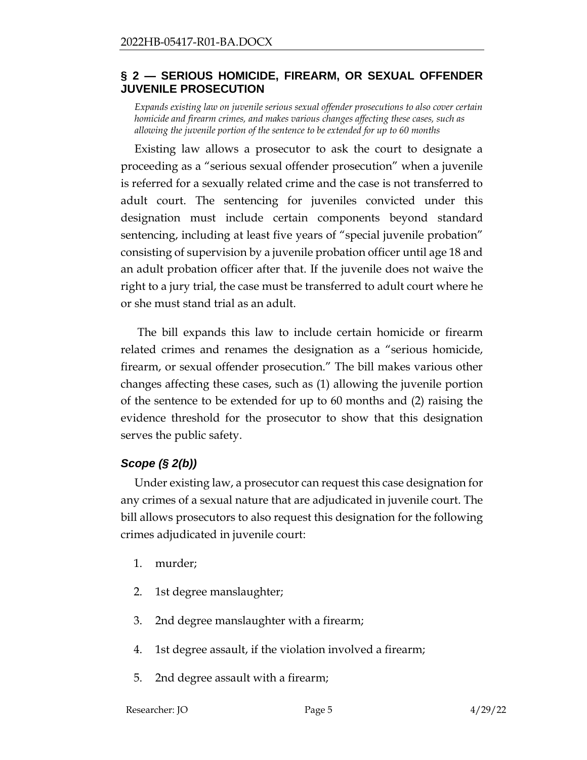### <span id="page-4-0"></span>**§ 2 — SERIOUS HOMICIDE, FIREARM, OR SEXUAL OFFENDER JUVENILE PROSECUTION**

*Expands existing law on juvenile serious sexual offender prosecutions to also cover certain homicide and firearm crimes, and makes various changes affecting these cases, such as allowing the juvenile portion of the sentence to be extended for up to 60 months*

Existing law allows a prosecutor to ask the court to designate a proceeding as a "serious sexual offender prosecution" when a juvenile is referred for a sexually related crime and the case is not transferred to adult court. The sentencing for juveniles convicted under this designation must include certain components beyond standard sentencing, including at least five years of "special juvenile probation" consisting of supervision by a juvenile probation officer until age 18 and an adult probation officer after that. If the juvenile does not waive the right to a jury trial, the case must be transferred to adult court where he or she must stand trial as an adult.

The bill expands this law to include certain homicide or firearm related crimes and renames the designation as a "serious homicide, firearm, or sexual offender prosecution." The bill makes various other changes affecting these cases, such as (1) allowing the juvenile portion of the sentence to be extended for up to 60 months and (2) raising the evidence threshold for the prosecutor to show that this designation serves the public safety.

## *Scope (§ 2(b))*

Under existing law, a prosecutor can request this case designation for any crimes of a sexual nature that are adjudicated in juvenile court. The bill allows prosecutors to also request this designation for the following crimes adjudicated in juvenile court:

- 1. murder;
- 2. 1st degree manslaughter;
- 3. 2nd degree manslaughter with a firearm;
- 4. 1st degree assault, if the violation involved a firearm;
- 5. 2nd degree assault with a firearm;

Researcher: JO Page 5 4/29/22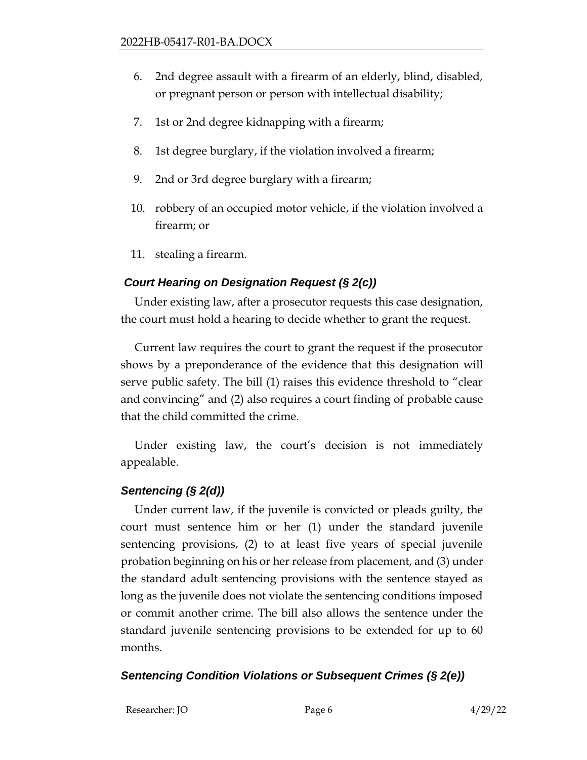- 6. 2nd degree assault with a firearm of an elderly, blind, disabled, or pregnant person or person with intellectual disability;
- 7. 1st or 2nd degree kidnapping with a firearm;
- 8. 1st degree burglary, if the violation involved a firearm;
- 9. 2nd or 3rd degree burglary with a firearm;
- 10. robbery of an occupied motor vehicle, if the violation involved a firearm; or
- 11. stealing a firearm.

# *Court Hearing on Designation Request (§ 2(c))*

Under existing law, after a prosecutor requests this case designation, the court must hold a hearing to decide whether to grant the request.

Current law requires the court to grant the request if the prosecutor shows by a preponderance of the evidence that this designation will serve public safety. The bill (1) raises this evidence threshold to "clear and convincing" and (2) also requires a court finding of probable cause that the child committed the crime.

Under existing law, the court's decision is not immediately appealable.

# *Sentencing (§ 2(d))*

Under current law, if the juvenile is convicted or pleads guilty, the court must sentence him or her (1) under the standard juvenile sentencing provisions, (2) to at least five years of special juvenile probation beginning on his or her release from placement, and (3) under the standard adult sentencing provisions with the sentence stayed as long as the juvenile does not violate the sentencing conditions imposed or commit another crime. The bill also allows the sentence under the standard juvenile sentencing provisions to be extended for up to 60 months.

# *Sentencing Condition Violations or Subsequent Crimes (§ 2(e))*

Researcher: JO Page 6 4/29/22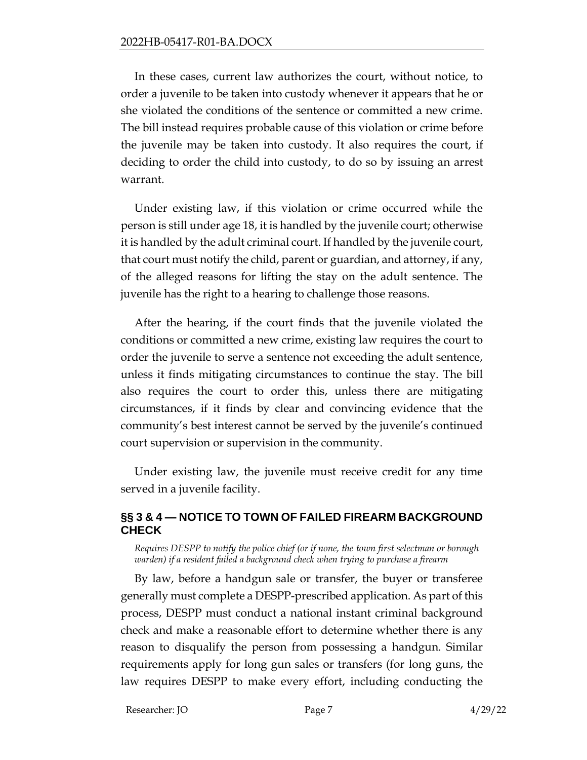In these cases, current law authorizes the court, without notice, to order a juvenile to be taken into custody whenever it appears that he or she violated the conditions of the sentence or committed a new crime. The bill instead requires probable cause of this violation or crime before the juvenile may be taken into custody. It also requires the court, if deciding to order the child into custody, to do so by issuing an arrest warrant.

Under existing law, if this violation or crime occurred while the person is still under age 18, it is handled by the juvenile court; otherwise it is handled by the adult criminal court. If handled by the juvenile court, that court must notify the child, parent or guardian, and attorney, if any, of the alleged reasons for lifting the stay on the adult sentence. The juvenile has the right to a hearing to challenge those reasons.

After the hearing, if the court finds that the juvenile violated the conditions or committed a new crime, existing law requires the court to order the juvenile to serve a sentence not exceeding the adult sentence, unless it finds mitigating circumstances to continue the stay. The bill also requires the court to order this, unless there are mitigating circumstances, if it finds by clear and convincing evidence that the community's best interest cannot be served by the juvenile's continued court supervision or supervision in the community.

Under existing law, the juvenile must receive credit for any time served in a juvenile facility.

## <span id="page-6-0"></span>**§§ 3 & 4 — NOTICE TO TOWN OF FAILED FIREARM BACKGROUND CHECK**

*Requires DESPP to notify the police chief (or if none, the town first selectman or borough warden) if a resident failed a background check when trying to purchase a firearm*

By law, before a handgun sale or transfer, the buyer or transferee generally must complete a DESPP-prescribed application. As part of this process, DESPP must conduct a national instant criminal background check and make a reasonable effort to determine whether there is any reason to disqualify the person from possessing a handgun. Similar requirements apply for long gun sales or transfers (for long guns, the law requires DESPP to make every effort, including conducting the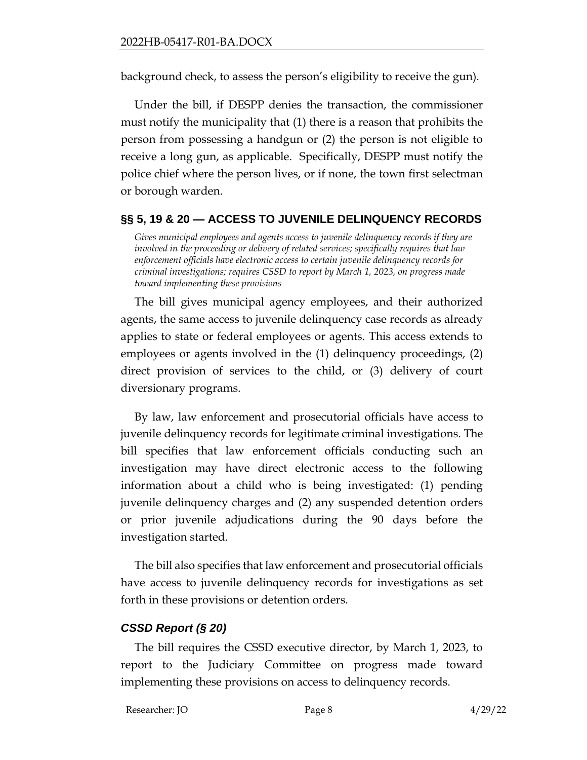background check, to assess the person's eligibility to receive the gun).

Under the bill, if DESPP denies the transaction, the commissioner must notify the municipality that (1) there is a reason that prohibits the person from possessing a handgun or (2) the person is not eligible to receive a long gun, as applicable. Specifically, DESPP must notify the police chief where the person lives, or if none, the town first selectman or borough warden.

## <span id="page-7-0"></span>**§§ 5, 19 & 20 — ACCESS TO JUVENILE DELINQUENCY RECORDS**

*Gives municipal employees and agents access to juvenile delinquency records if they are involved in the proceeding or delivery of related services; specifically requires that law enforcement officials have electronic access to certain juvenile delinquency records for criminal investigations; requires CSSD to report by March 1, 2023, on progress made toward implementing these provisions*

The bill gives municipal agency employees, and their authorized agents, the same access to juvenile delinquency case records as already applies to state or federal employees or agents. This access extends to employees or agents involved in the (1) delinquency proceedings, (2) direct provision of services to the child, or (3) delivery of court diversionary programs.

By law, law enforcement and prosecutorial officials have access to juvenile delinquency records for legitimate criminal investigations. The bill specifies that law enforcement officials conducting such an investigation may have direct electronic access to the following information about a child who is being investigated: (1) pending juvenile delinquency charges and (2) any suspended detention orders or prior juvenile adjudications during the 90 days before the investigation started.

The bill also specifies that law enforcement and prosecutorial officials have access to juvenile delinquency records for investigations as set forth in these provisions or detention orders.

## *CSSD Report (§ 20)*

The bill requires the CSSD executive director, by March 1, 2023, to report to the Judiciary Committee on progress made toward implementing these provisions on access to delinquency records.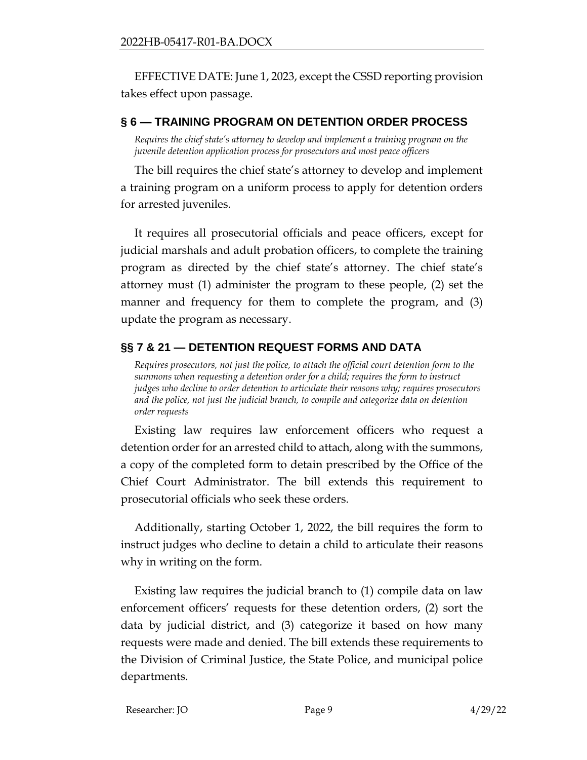EFFECTIVE DATE: June 1, 2023, except the CSSD reporting provision takes effect upon passage.

### <span id="page-8-0"></span>**§ 6 — TRAINING PROGRAM ON DETENTION ORDER PROCESS**

*Requires the chief state's attorney to develop and implement a training program on the juvenile detention application process for prosecutors and most peace officers*

The bill requires the chief state's attorney to develop and implement a training program on a uniform process to apply for detention orders for arrested juveniles.

It requires all prosecutorial officials and peace officers, except for judicial marshals and adult probation officers, to complete the training program as directed by the chief state's attorney. The chief state's attorney must (1) administer the program to these people, (2) set the manner and frequency for them to complete the program, and (3) update the program as necessary.

## <span id="page-8-1"></span>**§§ 7 & 21 — DETENTION REQUEST FORMS AND DATA**

*Requires prosecutors, not just the police, to attach the official court detention form to the summons when requesting a detention order for a child; requires the form to instruct judges who decline to order detention to articulate their reasons why; requires prosecutors and the police, not just the judicial branch, to compile and categorize data on detention order requests*

Existing law requires law enforcement officers who request a detention order for an arrested child to attach, along with the summons, a copy of the completed form to detain prescribed by the Office of the Chief Court Administrator. The bill extends this requirement to prosecutorial officials who seek these orders.

Additionally, starting October 1, 2022, the bill requires the form to instruct judges who decline to detain a child to articulate their reasons why in writing on the form.

Existing law requires the judicial branch to (1) compile data on law enforcement officers' requests for these detention orders, (2) sort the data by judicial district, and (3) categorize it based on how many requests were made and denied. The bill extends these requirements to the Division of Criminal Justice, the State Police, and municipal police departments.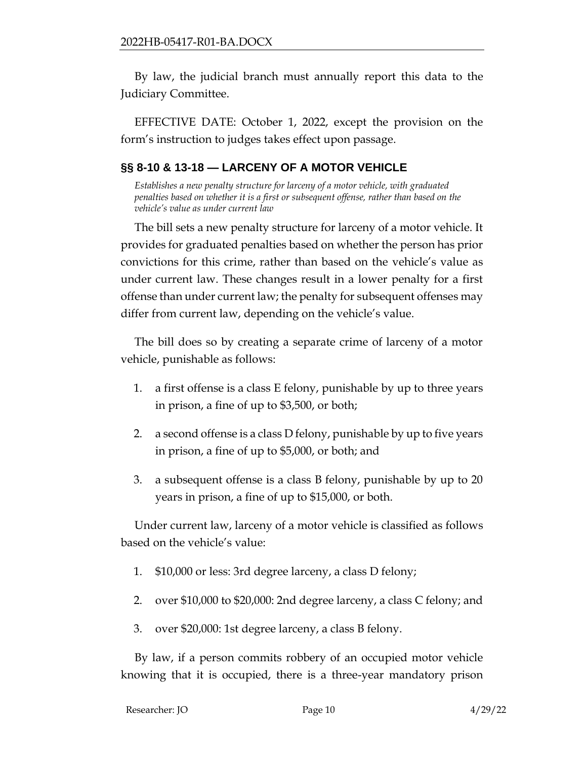By law, the judicial branch must annually report this data to the Judiciary Committee.

EFFECTIVE DATE: October 1, 2022, except the provision on the form's instruction to judges takes effect upon passage.

# <span id="page-9-0"></span>**§§ 8-10 & 13-18 — LARCENY OF A MOTOR VEHICLE**

*Establishes a new penalty structure for larceny of a motor vehicle, with graduated penalties based on whether it is a first or subsequent offense, rather than based on the vehicle's value as under current law*

The bill sets a new penalty structure for larceny of a motor vehicle. It provides for graduated penalties based on whether the person has prior convictions for this crime, rather than based on the vehicle's value as under current law. These changes result in a lower penalty for a first offense than under current law; the penalty for subsequent offenses may differ from current law, depending on the vehicle's value.

The bill does so by creating a separate crime of larceny of a motor vehicle, punishable as follows:

- 1. a first offense is a class E felony, punishable by up to three years in prison, a fine of up to \$3,500, or both;
- 2. a second offense is a class D felony, punishable by up to five years in prison, a fine of up to \$5,000, or both; and
- 3. a subsequent offense is a class B felony, punishable by up to 20 years in prison, a fine of up to \$15,000, or both.

Under current law, larceny of a motor vehicle is classified as follows based on the vehicle's value:

- 1. \$10,000 or less: 3rd degree larceny, a class D felony;
- 2. over \$10,000 to \$20,000: 2nd degree larceny, a class C felony; and
- 3. over \$20,000: 1st degree larceny, a class B felony.

By law, if a person commits robbery of an occupied motor vehicle knowing that it is occupied, there is a three-year mandatory prison

| Researcher: JO | Page 10 | 4/29/22 |
|----------------|---------|---------|
|                |         |         |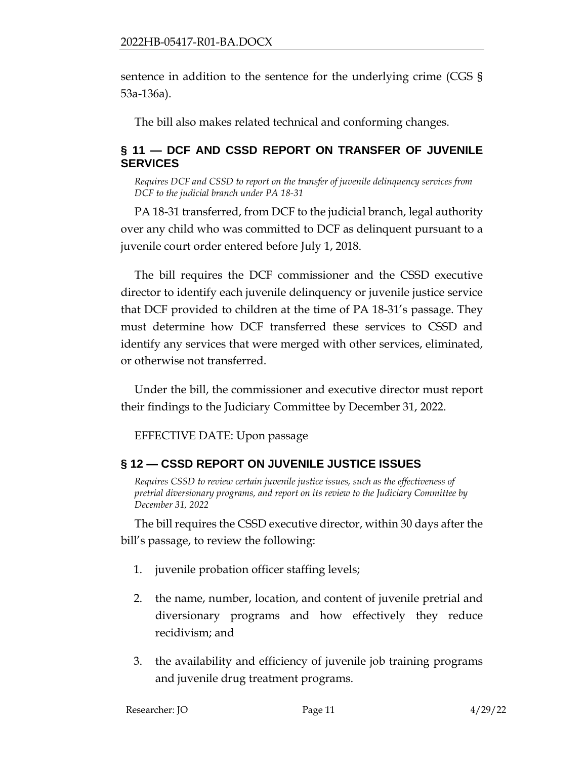sentence in addition to the sentence for the underlying crime (CGS § 53a-136a).

The bill also makes related technical and conforming changes.

## <span id="page-10-0"></span>**§ 11 — DCF AND CSSD REPORT ON TRANSFER OF JUVENILE SERVICES**

*Requires DCF and CSSD to report on the transfer of juvenile delinquency services from DCF to the judicial branch under PA 18-31*

PA 18-31 transferred, from DCF to the judicial branch, legal authority over any child who was committed to DCF as delinquent pursuant to a juvenile court order entered before July 1, 2018.

The bill requires the DCF commissioner and the CSSD executive director to identify each juvenile delinquency or juvenile justice service that DCF provided to children at the time of PA 18-31's passage. They must determine how DCF transferred these services to CSSD and identify any services that were merged with other services, eliminated, or otherwise not transferred.

Under the bill, the commissioner and executive director must report their findings to the Judiciary Committee by December 31, 2022.

EFFECTIVE DATE: Upon passage

## <span id="page-10-1"></span>**§ 12 — CSSD REPORT ON JUVENILE JUSTICE ISSUES**

*Requires CSSD to review certain juvenile justice issues, such as the effectiveness of pretrial diversionary programs, and report on its review to the Judiciary Committee by December 31, 2022*

The bill requires the CSSD executive director, within 30 days after the bill's passage, to review the following:

- 1. juvenile probation officer staffing levels;
- 2. the name, number, location, and content of juvenile pretrial and diversionary programs and how effectively they reduce recidivism; and
- 3. the availability and efficiency of juvenile job training programs and juvenile drug treatment programs.